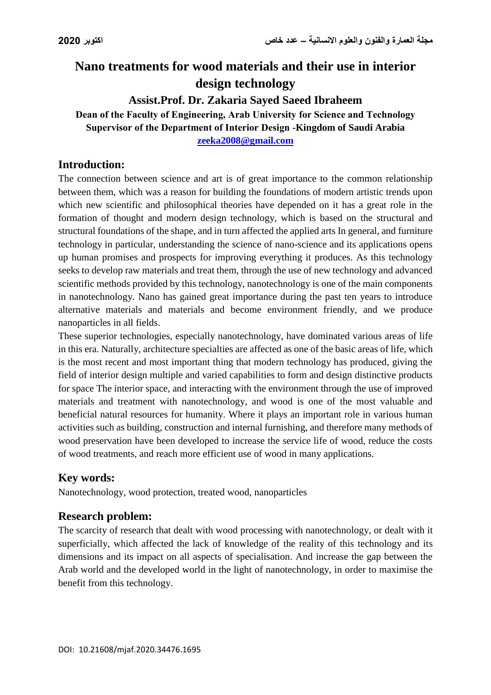# **Nano treatments for wood materials and their use in interior design technology**

**Assist.Prof. Dr. Zakaria Sayed Saeed Ibraheem Dean of the Faculty of Engineering, Arab University for Science and Technology Supervisor of the Department of Interior Design -Kingdom of Saudi Arabia [zeeka2008@gmail.com](mailto:zeeka2008@gmail.com)**

## **Introduction:**

The connection between science and art is of great importance to the common relationship between them, which was a reason for building the foundations of modern artistic trends upon which new scientific and philosophical theories have depended on it has a great role in the formation of thought and modern design technology, which is based on the structural and structural foundations of the shape, and in turn affected the applied arts In general, and furniture technology in particular, understanding the science of nano-science and its applications opens up human promises and prospects for improving everything it produces. As this technology seeks to develop raw materials and treat them, through the use of new technology and advanced scientific methods provided by this technology, nanotechnology is one of the main components in nanotechnology. Nano has gained great importance during the past ten years to introduce alternative materials and materials and become environment friendly, and we produce nanoparticles in all fields.

These superior technologies, especially nanotechnology, have dominated various areas of life in this era. Naturally, architecture specialties are affected as one of the basic areas of life, which is the most recent and most important thing that modern technology has produced, giving the field of interior design multiple and varied capabilities to form and design distinctive products for space The interior space, and interacting with the environment through the use of improved materials and treatment with nanotechnology, and wood is one of the most valuable and beneficial natural resources for humanity. Where it plays an important role in various human activities such as building, construction and internal furnishing, and therefore many methods of wood preservation have been developed to increase the service life of wood, reduce the costs of wood treatments, and reach more efficient use of wood in many applications.

### **Key words:**

Nanotechnology, wood protection, treated wood, nanoparticles

### **Research problem:**

The scarcity of research that dealt with wood processing with nanotechnology, or dealt with it superficially, which affected the lack of knowledge of the reality of this technology and its dimensions and its impact on all aspects of specialisation. And increase the gap between the Arab world and the developed world in the light of nanotechnology, in order to maximise the benefit from this technology.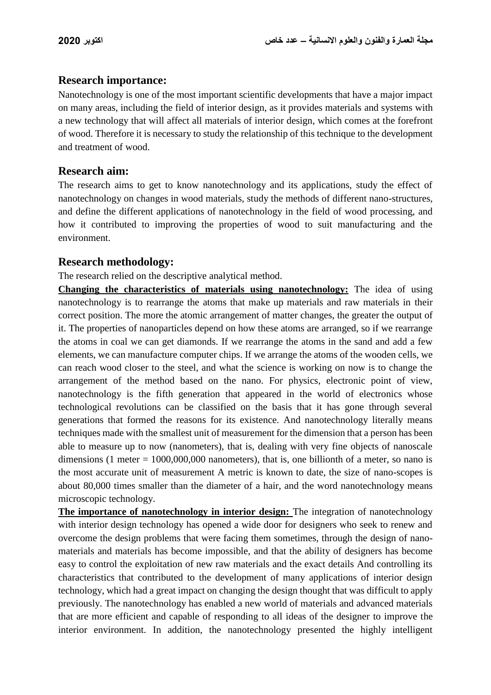#### **Research importance:**

Nanotechnology is one of the most important scientific developments that have a major impact on many areas, including the field of interior design, as it provides materials and systems with a new technology that will affect all materials of interior design, which comes at the forefront of wood. Therefore it is necessary to study the relationship of this technique to the development and treatment of wood.

### **Research aim:**

The research aims to get to know nanotechnology and its applications, study the effect of nanotechnology on changes in wood materials, study the methods of different nano-structures, and define the different applications of nanotechnology in the field of wood processing, and how it contributed to improving the properties of wood to suit manufacturing and the environment.

#### **Research methodology:**

The research relied on the descriptive analytical method.

**Changing the characteristics of materials using nanotechnology:** The idea of using nanotechnology is to rearrange the atoms that make up materials and raw materials in their correct position. The more the atomic arrangement of matter changes, the greater the output of it. The properties of nanoparticles depend on how these atoms are arranged, so if we rearrange the atoms in coal we can get diamonds. If we rearrange the atoms in the sand and add a few elements, we can manufacture computer chips. If we arrange the atoms of the wooden cells, we can reach wood closer to the steel, and what the science is working on now is to change the arrangement of the method based on the nano. For physics, electronic point of view, nanotechnology is the fifth generation that appeared in the world of electronics whose technological revolutions can be classified on the basis that it has gone through several generations that formed the reasons for its existence. And nanotechnology literally means techniques made with the smallest unit of measurement for the dimension that a person has been able to measure up to now (nanometers), that is, dealing with very fine objects of nanoscale dimensions (1 meter  $= 1000,000,000$  nanometers), that is, one billionth of a meter, so nano is the most accurate unit of measurement A metric is known to date, the size of nano-scopes is about 80,000 times smaller than the diameter of a hair, and the word nanotechnology means microscopic technology.

**The importance of nanotechnology in interior design:** The integration of nanotechnology with interior design technology has opened a wide door for designers who seek to renew and overcome the design problems that were facing them sometimes, through the design of nanomaterials and materials has become impossible, and that the ability of designers has become easy to control the exploitation of new raw materials and the exact details And controlling its characteristics that contributed to the development of many applications of interior design technology, which had a great impact on changing the design thought that was difficult to apply previously. The nanotechnology has enabled a new world of materials and advanced materials that are more efficient and capable of responding to all ideas of the designer to improve the interior environment. In addition, the nanotechnology presented the highly intelligent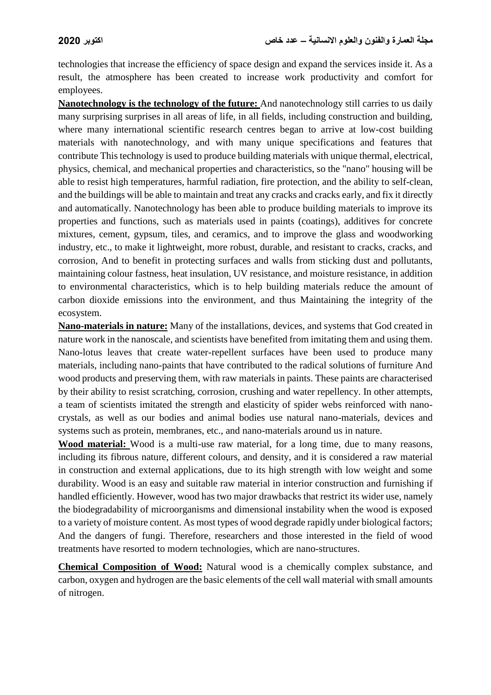technologies that increase the efficiency of space design and expand the services inside it. As a result, the atmosphere has been created to increase work productivity and comfort for employees.

**Nanotechnology is the technology of the future:** And nanotechnology still carries to us daily many surprising surprises in all areas of life, in all fields, including construction and building, where many international scientific research centres began to arrive at low-cost building materials with nanotechnology, and with many unique specifications and features that contribute This technology is used to produce building materials with unique thermal, electrical, physics, chemical, and mechanical properties and characteristics, so the "nano" housing will be able to resist high temperatures, harmful radiation, fire protection, and the ability to self-clean, and the buildings will be able to maintain and treat any cracks and cracks early, and fix it directly and automatically. Nanotechnology has been able to produce building materials to improve its properties and functions, such as materials used in paints (coatings), additives for concrete mixtures, cement, gypsum, tiles, and ceramics, and to improve the glass and woodworking industry, etc., to make it lightweight, more robust, durable, and resistant to cracks, cracks, and corrosion, And to benefit in protecting surfaces and walls from sticking dust and pollutants, maintaining colour fastness, heat insulation, UV resistance, and moisture resistance, in addition to environmental characteristics, which is to help building materials reduce the amount of carbon dioxide emissions into the environment, and thus Maintaining the integrity of the ecosystem.

**Nano-materials in nature:** Many of the installations, devices, and systems that God created in nature work in the nanoscale, and scientists have benefited from imitating them and using them. Nano-lotus leaves that create water-repellent surfaces have been used to produce many materials, including nano-paints that have contributed to the radical solutions of furniture And wood products and preserving them, with raw materials in paints. These paints are characterised by their ability to resist scratching, corrosion, crushing and water repellency. In other attempts, a team of scientists imitated the strength and elasticity of spider webs reinforced with nanocrystals, as well as our bodies and animal bodies use natural nano-materials, devices and systems such as protein, membranes, etc., and nano-materials around us in nature.

**Wood material:** Wood is a multi-use raw material, for a long time, due to many reasons, including its fibrous nature, different colours, and density, and it is considered a raw material in construction and external applications, due to its high strength with low weight and some durability. Wood is an easy and suitable raw material in interior construction and furnishing if handled efficiently. However, wood has two major drawbacks that restrict its wider use, namely the biodegradability of microorganisms and dimensional instability when the wood is exposed to a variety of moisture content. As most types of wood degrade rapidly under biological factors; And the dangers of fungi. Therefore, researchers and those interested in the field of wood treatments have resorted to modern technologies, which are nano-structures.

**Chemical Composition of Wood:** Natural wood is a chemically complex substance, and carbon, oxygen and hydrogen are the basic elements of the cell wall material with small amounts of nitrogen.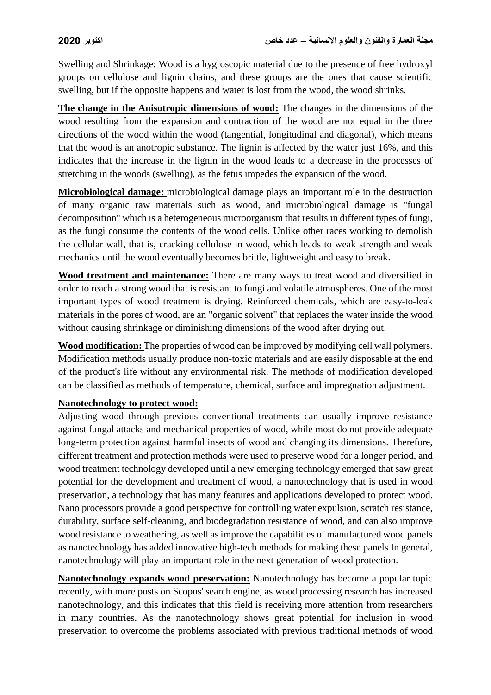Swelling and Shrinkage: Wood is a hygroscopic material due to the presence of free hydroxyl groups on cellulose and lignin chains, and these groups are the ones that cause scientific swelling, but if the opposite happens and water is lost from the wood, the wood shrinks.

**The change in the Anisotropic dimensions of wood:** The changes in the dimensions of the wood resulting from the expansion and contraction of the wood are not equal in the three directions of the wood within the wood (tangential, longitudinal and diagonal), which means that the wood is an anotropic substance. The lignin is affected by the water just 16%, and this indicates that the increase in the lignin in the wood leads to a decrease in the processes of stretching in the woods (swelling), as the fetus impedes the expansion of the wood.

**Microbiological damage:** microbiological damage plays an important role in the destruction of many organic raw materials such as wood, and microbiological damage is "fungal decomposition" which is a heterogeneous microorganism that results in different types of fungi, as the fungi consume the contents of the wood cells. Unlike other races working to demolish the cellular wall, that is, cracking cellulose in wood, which leads to weak strength and weak mechanics until the wood eventually becomes brittle, lightweight and easy to break.

**Wood treatment and maintenance:** There are many ways to treat wood and diversified in order to reach a strong wood that is resistant to fungi and volatile atmospheres. One of the most important types of wood treatment is drying. Reinforced chemicals, which are easy-to-leak materials in the pores of wood, are an "organic solvent" that replaces the water inside the wood without causing shrinkage or diminishing dimensions of the wood after drying out.

**Wood modification:** The properties of wood can be improved by modifying cell wall polymers. Modification methods usually produce non-toxic materials and are easily disposable at the end of the product's life without any environmental risk. The methods of modification developed can be classified as methods of temperature, chemical, surface and impregnation adjustment.

#### **Nanotechnology to protect wood:**

Adjusting wood through previous conventional treatments can usually improve resistance against fungal attacks and mechanical properties of wood, while most do not provide adequate long-term protection against harmful insects of wood and changing its dimensions. Therefore, different treatment and protection methods were used to preserve wood for a longer period, and wood treatment technology developed until a new emerging technology emerged that saw great potential for the development and treatment of wood, a nanotechnology that is used in wood preservation, a technology that has many features and applications developed to protect wood. Nano processors provide a good perspective for controlling water expulsion, scratch resistance, durability, surface self-cleaning, and biodegradation resistance of wood, and can also improve wood resistance to weathering, as well as improve the capabilities of manufactured wood panels as nanotechnology has added innovative high-tech methods for making these panels In general, nanotechnology will play an important role in the next generation of wood protection.

**Nanotechnology expands wood preservation:** Nanotechnology has become a popular topic recently, with more posts on Scopus' search engine, as wood processing research has increased nanotechnology, and this indicates that this field is receiving more attention from researchers in many countries. As the nanotechnology shows great potential for inclusion in wood preservation to overcome the problems associated with previous traditional methods of wood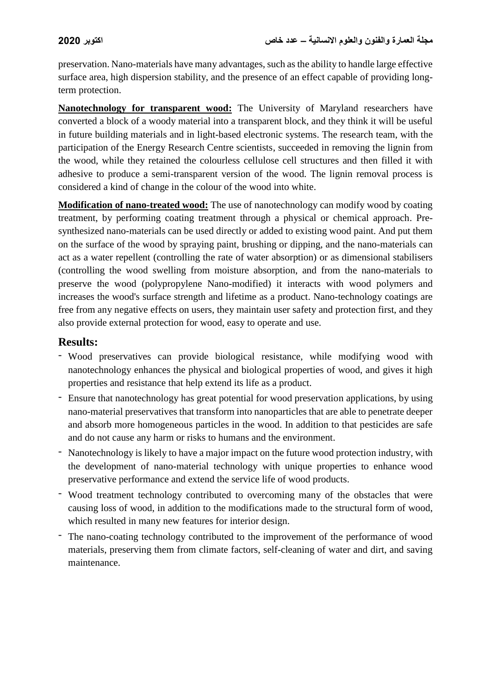preservation. Nano-materials have many advantages, such as the ability to handle large effective surface area, high dispersion stability, and the presence of an effect capable of providing longterm protection.

**Nanotechnology for transparent wood:** The University of Maryland researchers have converted a block of a woody material into a transparent block, and they think it will be useful in future building materials and in light-based electronic systems. The research team, with the participation of the Energy Research Centre scientists, succeeded in removing the lignin from the wood, while they retained the colourless cellulose cell structures and then filled it with adhesive to produce a semi-transparent version of the wood. The lignin removal process is considered a kind of change in the colour of the wood into white.

**Modification of nano-treated wood:** The use of nanotechnology can modify wood by coating treatment, by performing coating treatment through a physical or chemical approach. Presynthesized nano-materials can be used directly or added to existing wood paint. And put them on the surface of the wood by spraying paint, brushing or dipping, and the nano-materials can act as a water repellent (controlling the rate of water absorption) or as dimensional stabilisers (controlling the wood swelling from moisture absorption, and from the nano-materials to preserve the wood (polypropylene Nano-modified) it interacts with wood polymers and increases the wood's surface strength and lifetime as a product. Nano-technology coatings are free from any negative effects on users, they maintain user safety and protection first, and they also provide external protection for wood, easy to operate and use.

#### **Results:**

- Wood preservatives can provide biological resistance, while modifying wood with nanotechnology enhances the physical and biological properties of wood, and gives it high properties and resistance that help extend its life as a product.
- Ensure that nanotechnology has great potential for wood preservation applications, by using nano-material preservatives that transform into nanoparticles that are able to penetrate deeper and absorb more homogeneous particles in the wood. In addition to that pesticides are safe and do not cause any harm or risks to humans and the environment.
- Nanotechnology is likely to have a major impact on the future wood protection industry, with the development of nano-material technology with unique properties to enhance wood preservative performance and extend the service life of wood products.
- Wood treatment technology contributed to overcoming many of the obstacles that were causing loss of wood, in addition to the modifications made to the structural form of wood, which resulted in many new features for interior design.
- The nano-coating technology contributed to the improvement of the performance of wood materials, preserving them from climate factors, self-cleaning of water and dirt, and saving maintenance.